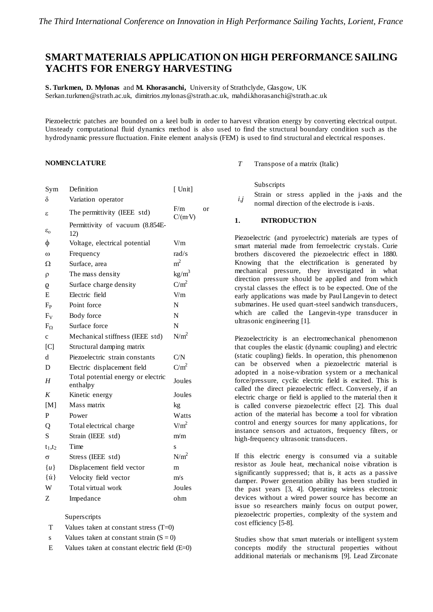# **SMART MATERIALS APPLICATION ON HIGH PERFORMANCE SAILING YACHTS FOR ENERGY HARVESTING**

**S. Turkmen, D. Mylonas** and **M. Khorasanchi,** University of Strathclyde, Glasgow, UK Serkan.turkmen@strath.ac.uk, dimitrios.mylonas@strath.ac.uk, mahdi.khorasanchi@strath.ac.uk

Piezoelectric patches are bounded on a keel bulb in order to harvest vibration energy by converting electrical output. Unsteady computational fluid dynamics method is also used to find the structural boundary condition such as the hydrodynamic pressure fluctuation. Finite element analysis (FEM) is used to find structural and electrical responses.

#### **NOMENCLATURE**

| Sym                   | Definition                                     | [Unit]                |    |
|-----------------------|------------------------------------------------|-----------------------|----|
| δ                     | Variation operator                             |                       |    |
| ε                     | The permittivity (IEEE std)                    | F/m<br>$C/(m\cdot V)$ | or |
| $\varepsilon_{\rm o}$ | Permittivity of vacuum (8.854E-<br>12)         |                       |    |
| φ                     | Voltage, electrical potential                  | V/m                   |    |
| $\omega$              | Frequency                                      | rad/s                 |    |
| Ω                     | Surface, area                                  | $\rm m^2$             |    |
| ρ                     | The mass density                               | $kg/m^3$              |    |
| 9                     | Surface charge density                         | $C/m^2$               |    |
| E                     | Electric field                                 | V/m                   |    |
| $F_{P}$               | Point force                                    | N                     |    |
| $F_V$                 | Body force                                     | N                     |    |
| $F_{O}$               | Surface force                                  | N                     |    |
| c                     | Mechanical stiffness (IEEE std)                | $N/m^2$               |    |
| [C]                   | Structural damping matrix                      |                       |    |
| d                     | Piezoelectric strain constants                 | C/N                   |    |
| D                     | Electric displacement field                    | $C/m^2$               |    |
| Η                     | Total potential energy or electric<br>enthalpy | Joules                |    |
| K                     | Kinetic energy                                 | Joules                |    |
| [M]                   | Mass matrix                                    | kg                    |    |
| P                     | Power                                          | Watts                 |    |
| Q                     | Total electrical charge                        | $V/m^2$               |    |
| S                     | Strain (IEEE std)                              | m/m                   |    |
| $t_1, t_2$            | Time                                           | S                     |    |
| $\sigma$              | Stress (IEEE std)                              | N/m <sup>2</sup>      |    |
| $\{u\}$               | Displacement field vector                      | m                     |    |
| $\{\dot{u}\}$         | Velocity field vector                          | m/s                   |    |
| W                     | Total virtual work                             | Joules                |    |
| Z                     | Impedance                                      | ohm                   |    |
|                       |                                                |                       |    |

#### Superscripts

- T Values taken at constant stress (T=0)
- s Values taken at constant strain  $(S = 0)$
- E Values taken at constant electric field (E=0)

*T* Transpose of a matrix (Italic)

Subscripts

*i,j* Strain or stress applied in the j-axis and the normal direction of the electrode is i-axis.

#### **1. INTRODUCTION**

Piezoelectric (and pyroelectric) materials are types of smart material made from ferroelectric crystals. Curie brothers discovered the piezoelectric effect in 1880. Knowing that the electrification is generated by mechanical pressure, they investigated in what direction pressure should be applied and from which crystal classes the effect is to be expected. One of the early applications was made by Paul Langevin to detect submarines. He used quart-steel sandwich transducers, which are called the Langevin-type transducer in ultrasonic engineering [1].

Piezoelectricity is an electromechanical phenomenon that couples the elastic (dynamic coupling) and electric (static coupling) fields. In operation, this phenomenon can be observed when a piezoelectric material is adopted in a noise-vibration system or a mechanical force/pressure, cyclic electric field is excited. This is called the direct piezoelectric effect. Conversely, if an electric charge or field is applied to the material then it is called converse piezoelectric effect [2]. This dual action of the material has become a tool for vibration control and energy sources for many applications, for instance sensors and actuators, frequency filters, or high-frequency ultrasonic transducers.

If this electric energy is consumed via a suitable resistor as Joule heat, mechanical noise vibration is significantly suppressed; that is, it acts as a passive damper. Power generation ability has been studied in the past years [3, 4]. Operating wireless electronic devices without a wired power source has become an issue so researchers mainly focus on output power, piezoelectric properties, complexity of the system and cost efficiency [5-8].

Studies show that smart materials or intelligent system concepts modify the structural properties without additional materials or mechanisms [9]. Lead Zirconate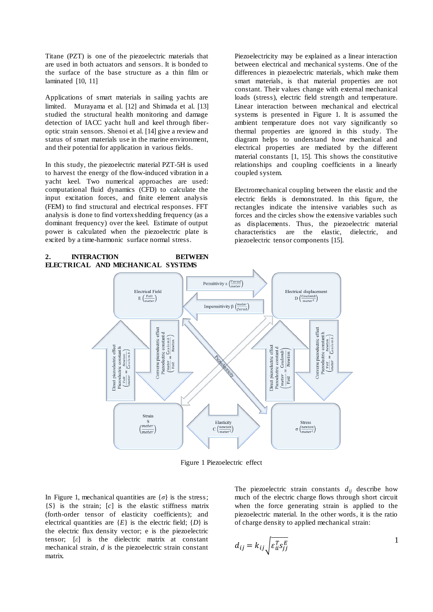Titane (PZT) is one of the piezoelectric materials that are used in both actuators and sensors. It is bonded to the surface of the base structure as a thin film or laminated [10, 11]

Applications of smart materials in sailing yachts are limited. Murayama et al. [12] and Shimada et al. [13] studied the structural health monitoring and damage detection of IACC yacht hull and keel through fiberoptic strain sensors. Shenoi et al. [14] give a review and status of smart materials use in the marine environment, and their potential for application in various fields.

In this study, the piezoelectric material PZT-5H is used to harvest the energy of the flow-induced vibration in a yacht keel. Two numerical approaches are used: computational fluid dynamics (CFD) to calculate the input excitation forces, and finite element analysis (FEM) to find structural and electrical responses. FFT analysis is done to find vortex shedding frequency (as a dominant frequency) over the keel. Estimate of output power is calculated when the piezoelectric plate is excited by a time-harmonic surface normal stress.

Piezoelectricity may be explained as a linear interaction between electrical and mechanical systems. One of the differences in piezoelectric materials, which make them smart materials, is that material properties are not constant. Their values change with external mechanical loads (stress), electric field strength and temperature. Linear interaction between mechanical and electrical systems is presented in Figure 1. It is assumed the ambient temperature does not vary significantly so thermal properties are ignored in this study. The diagram helps to understand how mechanical and electrical properties are mediated by the different material constants [1, 15]. This shows the constitutive relationships and coupling coefficients in a linearly coupled system.

Electromechanical coupling between the elastic and the electric fields is demonstrated. In this figure, the rectangles indicate the intensive variables such as forces and the circles show the extensive variables such as displacements. Thus, the piezoelectric material characteristics are the elastic, dielectric, and piezoelectric tensor components [15].

#### **2. INTERACTION BETWEEN ELECTRICAL AND MECHANICAL SYSTEMS**



Figure 1 Piezoelectric effect

In Figure 1, mechanical quantities are  $\{\sigma\}$  is the stress; {*S*} is the strain; [*c*] is the elastic stiffness matrix (forth-order tensor of elasticity coefficients); and electrical quantities are  ${E}$  is the electric field;  ${D}$  is the electric flux density vector; e is the piezoelectric tensor; [*ε*] is the dielectric matrix at constant mechanical strain, *d* is the piezoelectric strain constant matrix.

The piezoelectric strain constants  $d_{ij}$  describe how much of the electric charge flows through short circuit when the force generating strain is applied to the piezoelectric material. In the other words, it is the ratio of charge density to applied mechanical strain:

$$
d_{ij} = k_{ij} \sqrt{\varepsilon_{ii}^T s_{jj}^E}
$$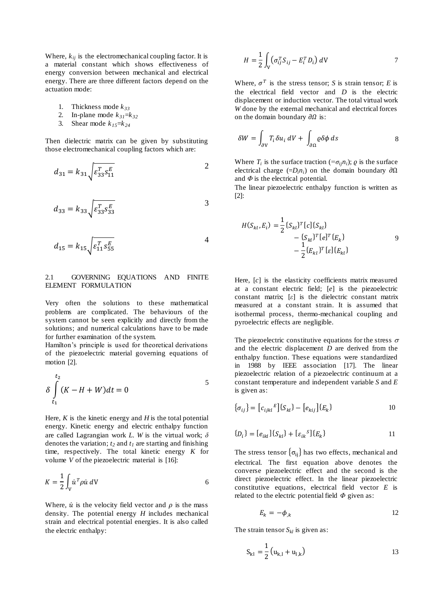Where,  $k_{ij}$  is the electromechanical coupling factor. It is a material constant which shows effectiveness of energy conversion between mechanical and electrical energy. There are three different factors depend on the actuation mode:

- 1. Thickness mode *k <sup>33</sup>*
- 2. In-plane mode  $k_{31} = k_{32}$
- 3. Shear mode  $k_{15}=k_{24}$

Then dielectric matrix can be given by substituting those electromechanical coupling factors which are:

$$
d_{31} = k_{31} \sqrt{\varepsilon_{33}^T \varepsilon_{11}^E}
$$

$$
d_{33} = k_{33} \sqrt{\varepsilon_{33}^T \varepsilon_{33}^E}
$$

$$
d_{15} = k_{15} \sqrt{\varepsilon_{11}^T \varepsilon_{55}^E}
$$

### 2.1 GOVERNING EQUATIONS AND FINITE ELEMENT FORMULATION

Very often the solutions to these mathematical problems are complicated. The behaviours of the system cannot be seen explicitly and directly from the solutions; and numerical calculations have to be made for further examination of the system.

Hamilton's principle is used for theoretical derivations of the piezoelectric material governing equations of motion [2].

$$
\delta \int_{t_1}^{t_2} (K - H + W) dt = 0
$$

Here,  $K$  is the kinetic energy and  $H$  is the total potential energy. Kinetic energy and electric enthalpy function are called Lagrangian work *L*. *W* is the virtual work; *δ*  denotes the variation; *t<sup>2</sup>* and *t<sup>1</sup>* are starting and finishing time, respectively. The total kinetic energy *K* for volume *V* of the piezoelectric material is [16]:

$$
K = \frac{1}{2} \int_{V} \dot{u}^{T} \rho \dot{u} \, dV
$$

Where,  $\dot{u}$  is the velocity field vector and  $\rho$  is the mass density. The potential energy *H* includes mechanical strain and electrical potential energies. It is also called the electric enthalpy:

$$
H = \frac{1}{2} \int_{V} \left( \sigma_{ij}^{T} S_{ij} - E_{i}^{T} D_{i} \right) dV
$$

Where,  $\sigma^T$  is the stress tensor; *S* is strain tensor; *E* is the electrical field vector and *D* is the electric displacement or induction vector. The total virtual work *W* done by the external mechanical and electrical forces on the domain boundary  $\partial \Omega$  is:

$$
\delta W = \int_{\partial V} T_i \delta u_i \, dV + \int_{\partial \Omega} \rho \delta \phi \, ds \tag{8}
$$

Where  $T_i$  is the surface traction ( $=\sigma_{ij}n_i$ );  $\rho$  is the surface electrical charge  $(=D_i n_i)$  on the domain boundary  $\partial \Omega$ and *Φ* is the electrical potential.

The linear piezoelectric enthalpy function is written as [2]:

$$
H(S_{kl}, E_i) = \frac{1}{2} \{ S_{kl} \}^T [c] \{ S_{kl} \} - \{ S_{kl} \}^T [e]^T \{ E_k \} - \frac{1}{2} \{ E_{kl} \}^T [e] \{ E_{kl} \}
$$

Here, [*c*] is the elasticity coefficients matrix measured at a constant electric field; [*e*] is the piezoelectric constant matrix; [*ε*] is the dielectric constant matrix measured at a constant strain. It is assumed that isothermal process, thermo-mechanical coupling and pyroelectric effects are negligible.

The piezoelectric constitutive equations for the stress  $\sigma$ and the electric displacement *D* are derived from the enthalpy function. These equations were standardized in 1988 by IEEE association [17]. The linear piezoelectric relation of a piezoelectric continuum at a constant temperature and independent variable *S* and *E* is given as:

$$
\{\sigma_{ij}\} = [c_{ijkl}^E] \{S_{kl}\} - [e_{kij}] \{E_k\}
$$
 10

$$
\{D_i\} = [e_{ikl}]\{S_{kl}\} + [g_{ik}S]\{E_k\}
$$
 11

The stress tensor  $\{\sigma_{ij}\}\$ has two effects, mechanical and electrical. The first equation above denotes the converse piezoelectric effect and the second is the direct piezoelectric effect. In the linear piezoelectric constitutive equations, electrical field vector *E* is related to the electric potential field *Φ* given as:

$$
E_k = -\phi_{,k} \tag{12}
$$

The strain tensor  $S_{kl}$  is given as:

$$
S_{k1} = \frac{1}{2} (u_{k,l} + u_{l,k})
$$
 13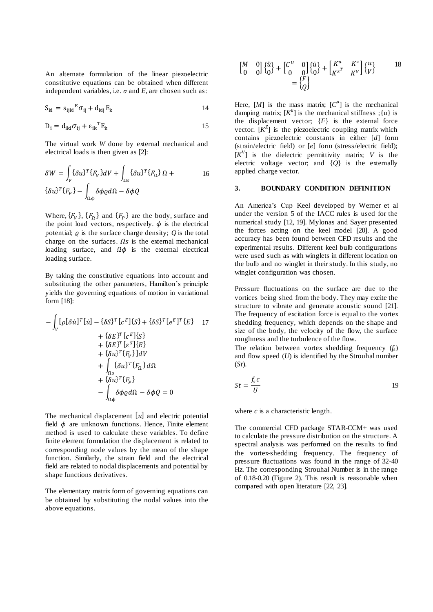An alternate formulation of the linear piezoelectric constitutive equations can be obtained when different independent variables, i.e.  $\sigma$  and  $E$ , are chosen such as:

$$
S_{kl} = s_{ijkl}{}^{E} \sigma_{ij} + d_{kij} E_{k}
$$

$$
D_i = d_{ikl} \sigma_{ij} + \varepsilon_{ik}^{\ \ T} E_k
$$

The virtual work *W* done by external mechanical and electrical loads is then given as [2]:

$$
\delta W = \int_{V} {\delta u}^{T} \{F_{V}\} dV + \int_{\Omega_{S}} {\delta u}^{T} \{F_{\Omega}\} \Omega +
$$
  

$$
{\delta u}^{T} \{F_{P}\} - \int_{\Omega_{\Phi}} {\delta \phi} d\Omega - {\delta \phi} Q
$$

Where,  $\{F_V\}$ ,  $\{F_{\Omega}\}$  and  $\{F_P\}$  are the body, surface and the point load vectors, respectively.  $\phi$  is the electrical potential;  $\rho$  is the surface charge density;  $\dot{\theta}$  is the total charge on the surfaces.  $\Omega$ s is the external mechanical loading surface, and  $\Omega \phi$  is the external electrical loading surface.

By taking the constitutive equations into account and substituting the other parameters, Hamilton's principle yields the governing equations of motion in variational form [18]:

$$
-\int_{V} [\rho[\delta \dot{u}]^{T}[\dot{u}] - {\delta S}^{T}[\epsilon^{E}] \{S\} + {\delta S}^{T}[\epsilon^{E}]^{T} \{E\} + {\delta E}^{T}[\epsilon^{S}] \{S\} + {\delta E}^{T}[\epsilon^{S}] \{E\} + {\delta u}^{T}[\epsilon_{V}^{S}] dV + \int_{\Omega_{S}} {\delta u}^{T}[\epsilon_{\Omega}^{S}] d\Omega + {\delta u}^{T}[\epsilon_{P}^{S}] - \int_{\Omega_{\Phi}} {\delta \phi} d\Omega - {\delta \phi} Q = 0
$$

The mechanical displacement  $[u]$  and electric potential field  $\phi$  are unknown functions. Hence, Finite element method is used to calculate these variables. To define finite element formulation the displacement is related to corresponding node values by the mean of the shape function. Similarly, the strain field and the electrical field are related to nodal displacements and potential by shape functions derivatives.

The elementary matrix form of governing equations can be obtained by substituting the nodal values into the above equations.

$$
\begin{bmatrix} M & 0 \\ 0 & 0 \end{bmatrix} \begin{bmatrix} \ddot{u} \\ 0 \end{bmatrix} + \begin{bmatrix} C^U & 0 \\ 0 & 0 \end{bmatrix} \begin{bmatrix} \dot{u} \\ 0 \end{bmatrix} + \begin{bmatrix} K^u & K^z \\ K^{z^T} & K^V \end{bmatrix} \begin{bmatrix} u \\ v \end{bmatrix} \qquad 18
$$

$$
= \begin{Bmatrix} F \\ Q \end{Bmatrix}
$$

Here,  $[M]$  is the mass matrix;  $[C<sup>u</sup>]$  is the mechanical damping matrix;  $[K^u]$  is the mechanical stiffness ;  $\{u\}$  is the displacement vector;  ${F}$  is the external force vector.  $[K^Z]$  is the piezoelectric coupling matrix which contains piezoelectric constants in either [*d*] form (strain/electric field) or [*e*] form (stress/electric field);  $[K^V]$  is the dielectric permittivity matrix; *V* is the electric voltage vector; and {*Q*} is the externally applied charge vector.

#### **3. BOUNDARY CONDITION DEFINITION**

An America's Cup Keel developed by Werner et al under the version 5 of the IACC rules is used for the numerical study [12, 19]. Mylonas and Sayer presented the forces acting on the keel model [20]. A good accuracy has been found between CFD results and the experimental results. Different keel bulb configurations were used such as with winglets in different location on the bulb and no winglet in their study. In this study, no winglet configuration was chosen.

Pressure fluctuations on the surface are due to the vortices being shed from the body. They may excite the structure to vibrate and generate acoustic sound [21]. The frequency of excitation force is equal to the vortex shedding frequency, which depends on the shape and size of the body, the velocity of the flow, the surface roughness and the turbulence of the flow.

The relation between vortex shedding frequency  $(f_s)$ and flow speed (*U*) is identified by the Strouhal number (*St*).

$$
St = \frac{f_s c}{U}
$$

where *c* is a characteristic length.

The commercial CFD package STAR-CCM+ was used to calculate the pressure distribution on the structure. A spectral analysis was performed on the results to find the vortex-shedding frequency. The frequency of pressure fluctuations was found in the range of 32-40 Hz. The corresponding Strouhal Number is in the range of 0.18-0.20 (Figure 2). This result is reasonable when compared with open literature [22, 23].

18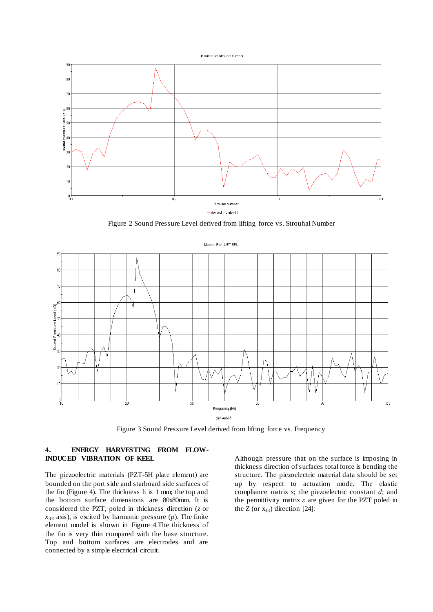



Figure 2 Sound Pressure Level derived from lifting force vs. Strouhal Number



Figure 3 Sound Pressure Level derived from lifting force vs. Frequency

# **4. ENERGY HARVESTING FROM FLOW-INDUCED VIBRATION OF KEEL**

The piezoelectric materials (PZT-5H plate element) are bounded on the port side and starboard side surfaces of the fin (Figure 4). The thickness h is 1 mm; the top and the bottom surface dimensions are 80x80mm. It is considered the PZT, poled in thickness direction (*z* or *x<sup>33</sup>* axis), is excited by harmonic pressure (*p*). The finite element model is shown in Figure 4.The thickness of the fin is very thin compared with the base structure. Top and bottom surfaces are electrodes and are connected by a simple electrical circuit.

Although pressure that on the surface is imposing in thickness direction of surfaces total force is bending the structure. The piezoelectric material data should be set up by respect to actuation mode. The elastic compliance matrix *s*; the piezoelectric constant *d*; and the permittivity matrix *ε* are given for the PZT poled in the Z (or  $x_{33}$ ) direction [24]: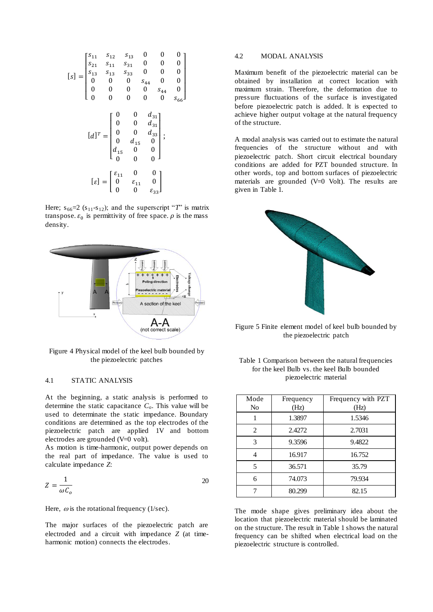$$
\begin{bmatrix}\ns_1 & s_{12} & s_{13} & 0 & 0 & 0 \\
s_{21} & s_{11} & s_{31} & 0 & 0 & 0 \\
s_{13} & s_{13} & s_{33} & 0 & 0 & 0 \\
0 & 0 & 0 & s_{44} & 0 & 0 \\
0 & 0 & 0 & 0 & s_{44} & 0 \\
0 & 0 & 0 & 0 & 0 & s_{56}\n\end{bmatrix}
$$
\n
$$
\begin{bmatrix}\nd\end{bmatrix}^T = \begin{bmatrix}\n0 & 0 & d_{31} \\
0 & 0 & d_{31} \\
0 & 0 & d_{33} \\
0 & d_{15} & 0 \\
0 & 0 & 0\n\end{bmatrix};
$$
\n
$$
\begin{bmatrix}\n\varepsilon\end{bmatrix} = \begin{bmatrix}\n\varepsilon_{11} & 0 & 0 \\
0 & \varepsilon_{11} & 0 \\
0 & 0 & \varepsilon_{33}\n\end{bmatrix};
$$

Here;  $s_{66}=2$  ( $s_{11}-s_{12}$ ); and the superscript "*T*" is matrix transpose.  $\varepsilon_0$  is permittivity of free space.  $\rho$  is the mass density.



Figure 4 Physical model of the keel bulb bounded by the piezoelectric patches

#### 4.1 STATIC ANALYSIS

At the beginning, a static analysis is performed to determine the static capacitance *Co*. This value will be used to determinate the static impedance. Boundary conditions are determined as the top electrodes of the piezoelectric patch are applied 1V and bottom electrodes are grounded (V=0 volt).

As motion is time-harmonic, output power depends on the real part of impedance. The value is used to calculate impedance *Z*:

$$
Z = \frac{1}{\omega \mathcal{C}_o} \tag{20}
$$

Here,  $\omega$  is the rotational frequency (1/sec).

The major surfaces of the piezoelectric patch are electroded and a circuit with impedance *Z* (at timeharmonic motion) connects the electrodes.

#### 4.2 MODAL ANALYSIS

Maximum benefit of the piezoelectric material can be obtained by installation at correct location with maximum strain. Therefore, the deformation due to pressure fluctuations of the surface is investigated before piezoelectric patch is added. It is expected to achieve higher output voltage at the natural frequency of the structure.

A modal analysis was carried out to estimate the natural frequencies of the structure without and with piezoelectric patch. Short circuit electrical boundary conditions are added for PZT bounded structure. In other words, top and bottom surfaces of piezoelectric materials are grounded (V=0 Volt). The results are given in Table 1.



Figure 5 Finite element model of keel bulb bounded by the piezoelectric patch

| Table 1 Comparison between the natural frequencies |  |  |  |
|----------------------------------------------------|--|--|--|
| for the keel Bulb vs. the keel Bulb bounded        |  |  |  |
| piezoelectric material                             |  |  |  |

| Mode<br>No | Frequency<br>(Hz) | Frequency with PZT<br>(Hz) |
|------------|-------------------|----------------------------|
|            | 1.3897            | 1.5346                     |
| 2          | 2.4272            | 2.7031                     |
| 3          | 9.3596            | 9.4822                     |
| 4          | 16.917            | 16.752                     |
| 5          | 36.571            | 35.79                      |
| 6          | 74.073            | 79.934                     |
|            | 80.299            | 82.15                      |

The mode shape gives preliminary idea about the location that piezoelectric material should be laminated on the structure. The result in Table 1 shows the natural frequency can be shifted when electrical load on the piezoelectric structure is controlled.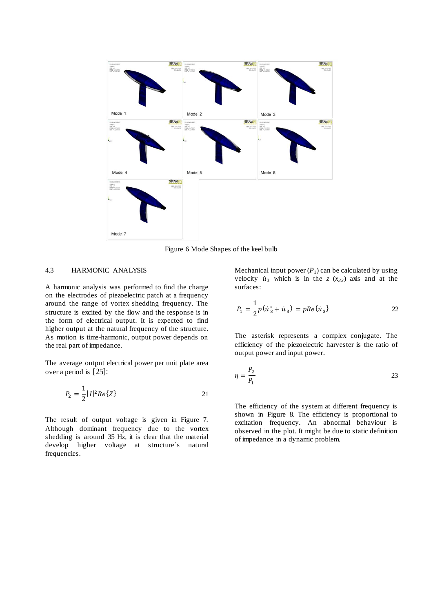

Figure 6 Mode Shapes of the keel bulb

## 4.3 HARMONIC ANALYSIS

A harmonic analysis was performed to find the charge on the electrodes of piezoelectric patch at a frequency around the range of vortex shedding frequency. The structure is excited by the flow and the response is in the form of electrical output. It is expected to find higher output at the natural frequency of the structure. As motion is time-harmonic, output power depends on the real part of impedance.

The average output electrical power per unit plate area over a period is [25]:

$$
P_2 = \frac{1}{2} |\bar{I}|^2 Re\{Z\} \tag{21}
$$

The result of output voltage is given in Figure 7. Although dominant frequency due to the vortex shedding is around 35 Hz, it is clear that the material develop higher voltage at structure's natural frequencies.

Mechanical input power  $(P_1)$  can be calculated by using velocity  $\dot{u}_3$  which is in the *z* ( $x_{33}$ ) axis and at the surfaces:

$$
P_1 = \frac{1}{2}p(\dot{u}_3 + \dot{u}_3) = pRe\{\dot{u}_3\}
$$

The asterisk represents a complex conjugate. The efficiency of the piezoelectric harvester is the ratio of output power and input power.

$$
\eta = \frac{P_2}{P_1} \tag{23}
$$

The efficiency of the system at different frequency is shown in Figure 8. The efficiency is proportional to excitation frequency. An abnormal behaviour is observed in the plot. It might be due to static definition of impedance in a dynamic problem.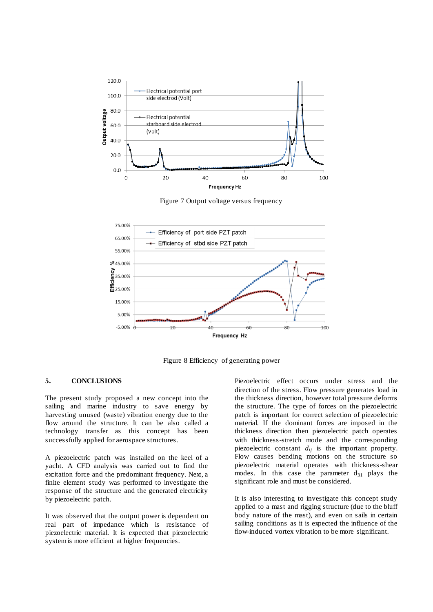

Figure 7 Output voltage versus frequency



Figure 8 Efficiency of generating power

# **5. CONCLUSIONS**

The present study proposed a new concept into the sailing and marine industry to save energy by harvesting unused (waste) vibration energy due to the flow around the structure. It can be also called a technology transfer as this concept has been successfully applied for aerospace structures.

A piezoelectric patch was installed on the keel of a yacht. A CFD analysis was carried out to find the excitation force and the predominant frequency. Next, a finite element study was performed to investigate the response of the structure and the generated electricity by piezoelectric patch.

It was observed that the output power is dependent on real part of impedance which is resistance of piezoelectric material. It is expected that piezoelectric system is more efficient at higher frequencies.

Piezoelectric effect occurs under stress and the direction of the stress. Flow pressure generates load in the thickness direction, however total pressure deforms the structure. The type of forces on the piezoelectric patch is important for correct selection of piezoelectric material. If the dominant forces are imposed in the thickness direction then piezoelectric patch operates with thickness-stretch mode and the corresponding piezoelectric constant *dij* is the important property. Flow causes bending motions on the structure so piezoelectric material operates with thickness-shear modes. In this case the parameter  $d_{31}$  plays the significant role and must be considered.

It is also interesting to investigate this concept study applied to a mast and rigging structure (due to the bluff body nature of the mast), and even on sails in certain sailing conditions as it is expected the influence of the flow-induced vortex vibration to be more significant.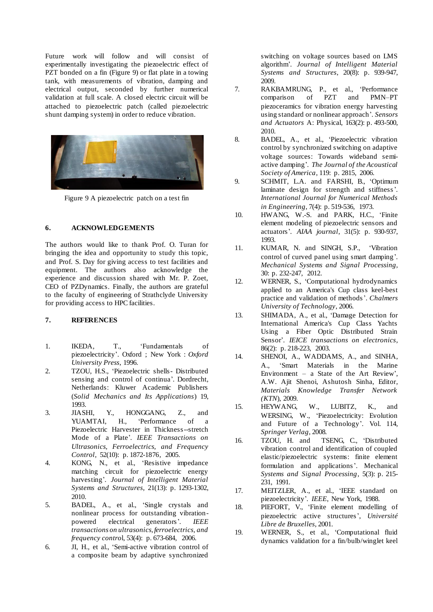Future work will follow and will consist of experimentally investigating the piezoelectric effect of PZT bonded on a fin (Figure 9) or flat plate in a towing tank, with measurements of vibration, damping and electrical output, seconded by further numerical validation at full scale. A closed electric circuit will be attached to piezoelectric patch (called piezoelectric shunt damping system) in order to reduce vibration.



Figure 9 A piezoelectric patch on a test fin

## **6. ACKNOWLEDGEMENTS**

The authors would like to thank Prof. O. Turan for bringing the idea and opportunity to study this topic, and Prof. S. Day for giving access to test facilities and equipment. The authors also acknowledge the experience and discussion shared with Mr. P. Zoet, CEO of PZDynamics. Finally, the authors are grateful to the faculty of engineering of Strathclyde University for providing access to HPC facilities.

## **7. REFERENCES**

- 1. IKEDA, T., 'Fundamentals of piezoelectricity'. Oxford ; New York : *Oxford University Press*, 1996.
- 2. TZOU, H.S., 'Piezoelectric shells- Distributed sensing and control of continua'*.* Dordrecht, Netherlands: Kluwer Academic Publishers (*Solid Mechanics and Its Applications*) 19, 1993.<br>JIASHI,
- 3. JIASHI, Y., HONGGANG, Z., and YUAMTAI, H., 'Performance of a Piezoelectric Harvester in Thickness--stretch Mode of a Plate'*. IEEE Transactions on Ultrasonics, Ferroelectrics, and Frequency Control*, 52(10): p. 1872-1876, 2005.
- 4. KONG, N., et al., 'Resistive impedance matching circuit for piezoelectric energy harvesting'*. Journal of Intelligent Material Systems and Structures*, 21(13): p. 1293-1302, 2010.
- 5. BADEL, A., et al., 'Single crystals and nonlinear process for outstanding vibrationpowered electrical generators'*. IEEE transactions on ultrasonics, ferroelectrics, and frequency contro*l, 53(4): p. 673-684, 2006.
- 6. JI, H., et al., 'Semi-active vibration control of a composite beam by adaptive synchronized

switching on voltage sources based on LMS algorithm'*. Journal of Intelligent Material Systems and Structures*, 20(8): p. 939-947, 2009.

- 7. RAKBAMRUNG, P., et al., 'Performance comparison of PZT and PMN–PT piezoceramics for vibration energy harvesting using standard or nonlinear approach'*. Sensors and Actuators* A: Physical, 163(2): p. 493-500, 2010.
- 8. BADEL, A., et al., 'Piezoelectric vibration control by synchronized switching on adaptive voltage sources: Towards wideband semiactive damping'*. The Journal of the Acoustical Society of America*, 119: p. 2815, 2006.
- 9. SCHMIT, L.A. and FARSHI, B., 'Optimum laminate design for strength and stiffness'*. International Journal for Numerical Methods in Engineering*, 7(4): p. 519-536, 1973.
- 10. HWANG, W.-S. and PARK, H.C., 'Finite element modeling of piezoelectric sensors and actuators'*. AIAA journal*, 31(5): p. 930-937, 1993.
- 11. KUMAR, N. and SINGH, S.P., 'Vibration control of curved panel using smart damping'*. Mechanical Systems and Signal Processing*, 30: p. 232-247, 2012.
- 12. WERNER, S., 'Computational hydrodynamics applied to an America's Cup class keel-best practice and validation of methods'. *Chalmers University of Technology*, 2006.
- 13. SHIMADA, A., et al., 'Damage Detection for International America's Cup Class Yachts Using a Fiber Optic Distributed Strain Sensor'*. IEICE transactions on electronics*, 86(2): p. 218-223, 2003.
- 14. SHENOI, A., WADDAMS, A., and SINHA, A., 'Smart Materials in the Marine Environment – a State of the Art Review', A.W. Ajit Shenoi, Ashutosh Sinha, Editor, *Materials Knowledge Transfer Network (KTN*), 2009.
- 15. HEYWANG, W., LUBITZ, K., and WERSING, W., 'Piezoelectricity: Evolution and Future of a Technology'. Vol. 114, *Springer Verlag*, 2008*.*
- 16. TZOU, H. and TSENG, C., 'Distributed vibration control and identification of coupled elastic/piezoelectric systems: finite element formulation and applications'. Mechanical *Systems and Signal Processing*, 5(3): p. 215- 231, 1991.
- 17. MEITZLER, A., et al., 'IEEE standard on piezoelectricity'*. IEEE*, New York, 1988.
- 18. PIEFORT, V., 'Finite element modelling of piezoelectric active structures', *Université Libre de Bruxelles*, 2001.
- 19. WERNER, S., et al., 'Computational fluid dynamics validation for a fin/bulb/winglet keel